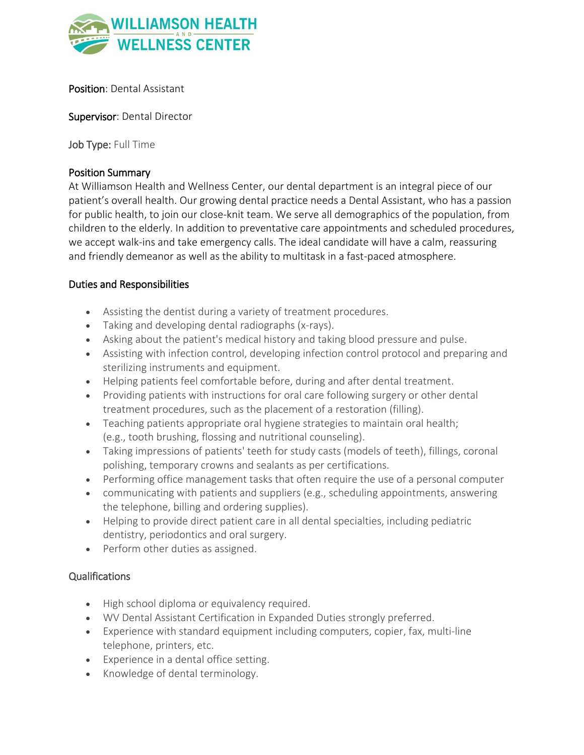

Position: Dental Assistant

Supervisor: Dental Director

Job Type: Full Time

### Position Summary

At Williamson Health and Wellness Center, our dental department is an integral piece of our patient's overall health. Our growing dental practice needs a Dental Assistant, who has a passion for public health, to join our close-knit team. We serve all demographics of the population, from children to the elderly. In addition to preventative care appointments and scheduled procedures, we accept walk-ins and take emergency calls. The ideal candidate will have a calm, reassuring and friendly demeanor as well as the ability to multitask in a fast-paced atmosphere.

### Duties and Responsibilities

- Assisting the dentist during a variety of treatment procedures.
- Taking and developing dental radiographs (x-rays).
- Asking about the patient's medical history and taking blood pressure and pulse.
- Assisting with infection control, developing infection control protocol and preparing and sterilizing instruments and equipment.
- Helping patients feel comfortable before, during and after dental treatment.
- Providing patients with instructions for oral care following surgery or other dental treatment procedures, such as the placement of a restoration (filling).
- Teaching patients appropriate oral hygiene strategies to maintain oral health; (e.g., tooth brushing, flossing and nutritional counseling).
- Taking impressions of patients' teeth for study casts (models of teeth), fillings, coronal polishing, temporary crowns and sealants as per certifications.
- Performing office management tasks that often require the use of a personal computer
- communicating with patients and suppliers (e.g., scheduling appointments, answering the telephone, billing and ordering supplies).
- Helping to provide direct patient care in all dental specialties, including pediatric dentistry, periodontics and oral surgery.
- Perform other duties as assigned.

### Qualifications

- High school diploma or equivalency required.
- WV Dental Assistant Certification in Expanded Duties strongly preferred.
- Experience with standard equipment including computers, copier, fax, multi‐line telephone, printers, etc.
- Experience in a dental office setting.
- Knowledge of dental terminology.